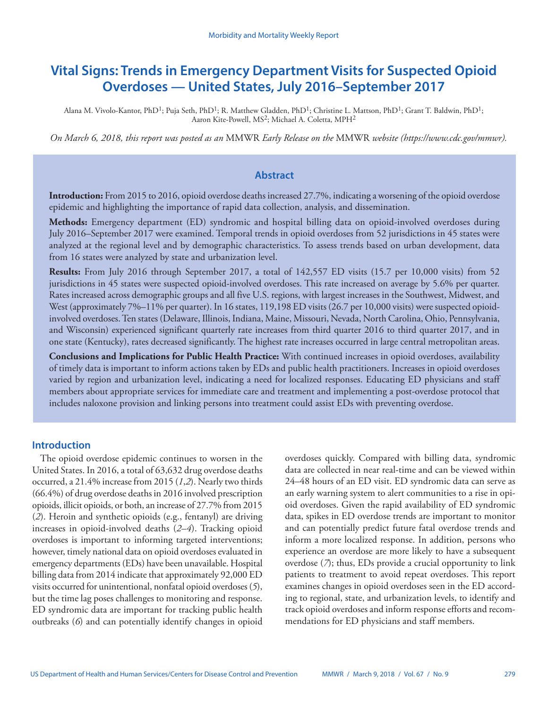# **Vital Signs: Trends in Emergency Department Visits for Suspected Opioid Overdoses — United States, July 2016–September 2017**

Alana M. Vivolo-Kantor, PhD<sup>1</sup>; Puja Seth, PhD<sup>1</sup>; R. Matthew Gladden, PhD<sup>1</sup>; Christine L. Mattson, PhD<sup>1</sup>; Grant T. Baldwin, PhD<sup>1</sup>; Aaron Kite-Powell, MS<sup>2</sup>; Michael A. Coletta, MPH<sup>2</sup>

*On March 6, 2018, this report was posted as an* MMWR *Early Release on the* MMWR *website ([https://www.cdc.gov/mmwr\)](https://www.cdc.gov/mmwr).*

### **Abstract**

**Introduction:** From 2015 to 2016, opioid overdose deaths increased 27.7%, indicating a worsening of the opioid overdose epidemic and highlighting the importance of rapid data collection, analysis, and dissemination.

**Methods:** Emergency department (ED) syndromic and hospital billing data on opioid-involved overdoses during July 2016–September 2017 were examined. Temporal trends in opioid overdoses from 52 jurisdictions in 45 states were analyzed at the regional level and by demographic characteristics. To assess trends based on urban development, data from 16 states were analyzed by state and urbanization level.

**Results:** From July 2016 through September 2017, a total of 142,557 ED visits (15.7 per 10,000 visits) from 52 jurisdictions in 45 states were suspected opioid-involved overdoses. This rate increased on average by 5.6% per quarter. Rates increased across demographic groups and all five U.S. regions, with largest increases in the Southwest, Midwest, and West (approximately 7%–11% per quarter). In 16 states, 119,198 ED visits (26.7 per 10,000 visits) were suspected opioidinvolved overdoses. Ten states (Delaware, Illinois, Indiana, Maine, Missouri, Nevada, North Carolina, Ohio, Pennsylvania, and Wisconsin) experienced significant quarterly rate increases from third quarter 2016 to third quarter 2017, and in one state (Kentucky), rates decreased significantly. The highest rate increases occurred in large central metropolitan areas.

**Conclusions and Implications for Public Health Practice:** With continued increases in opioid overdoses, availability of timely data is important to inform actions taken by EDs and public health practitioners. Increases in opioid overdoses varied by region and urbanization level, indicating a need for localized responses. Educating ED physicians and staff members about appropriate services for immediate care and treatment and implementing a post-overdose protocol that includes naloxone provision and linking persons into treatment could assist EDs with preventing overdose.

## **Introduction**

The opioid overdose epidemic continues to worsen in the United States. In 2016, a total of 63,632 drug overdose deaths occurred, a 21.4% increase from 2015 (*1*,*2*). Nearly two thirds (66.4%) of drug overdose deaths in 2016 involved prescription opioids, illicit opioids, or both, an increase of 27.7% from 2015 (*2*). Heroin and synthetic opioids (e.g., fentanyl) are driving increases in opioid-involved deaths (*2*–*4*). Tracking opioid overdoses is important to informing targeted interventions; however, timely national data on opioid overdoses evaluated in emergency departments (EDs) have been unavailable. Hospital billing data from 2014 indicate that approximately 92,000 ED visits occurred for unintentional, nonfatal opioid overdoses (*5*), but the time lag poses challenges to monitoring and response. ED syndromic data are important for tracking public health outbreaks (*6*) and can potentially identify changes in opioid

overdoses quickly. Compared with billing data, syndromic data are collected in near real-time and can be viewed within 24–48 hours of an ED visit. ED syndromic data can serve as an early warning system to alert communities to a rise in opioid overdoses. Given the rapid availability of ED syndromic data, spikes in ED overdose trends are important to monitor and can potentially predict future fatal overdose trends and inform a more localized response. In addition, persons who experience an overdose are more likely to have a subsequent overdose (*7*); thus, EDs provide a crucial opportunity to link patients to treatment to avoid repeat overdoses. This report examines changes in opioid overdoses seen in the ED according to regional, state, and urbanization levels, to identify and track opioid overdoses and inform response efforts and recommendations for ED physicians and staff members.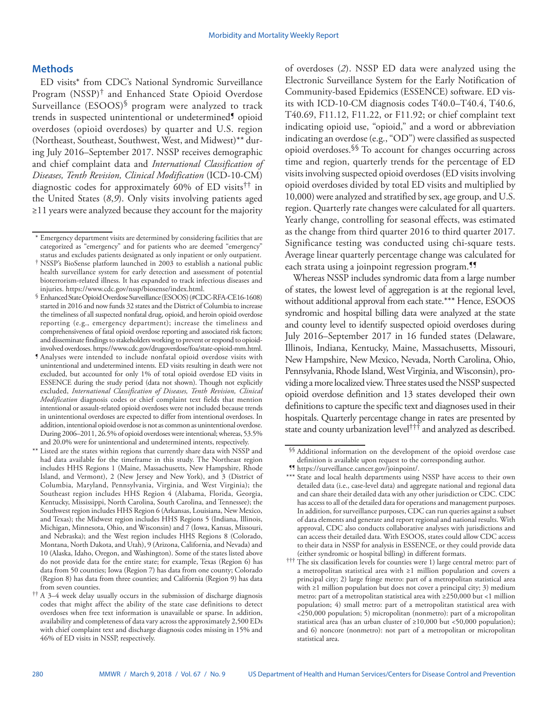## **Methods**

ED visits\* from CDC's National Syndromic Surveillance Program (NSSP)† and Enhanced State Opioid Overdose Surveillance (ESOOS)§ program were analyzed to track trends in suspected unintentional or undetermined<sup>9</sup> opioid overdoses (opioid overdoses) by quarter and U.S. region (Northeast, Southeast, Southwest, West, and Midwest)\*\* during July 2016–September 2017. NSSP receives demographic and chief complaint data and *International Classification of Diseases, Tenth Revision, Clinical Modification* (ICD-10-CM) diagnostic codes for approximately 60% of ED visits†† in the United States (*8*,*9*). Only visits involving patients aged ≥11 years were analyzed because they account for the majority

of overdoses (*2*). NSSP ED data were analyzed using the Electronic Surveillance System for the Early Notification of Community-based Epidemics (ESSENCE) software. ED visits with ICD-10-CM diagnosis codes T40.0–T40.4, T40.6, T40.69, F11.12, F11.22, or F11.92; or chief complaint text indicating opioid use, "opioid," and a word or abbreviation indicating an overdose (e.g., "OD") were classified as suspected opioid overdoses.§§ To account for changes occurring across time and region, quarterly trends for the percentage of ED visits involving suspected opioid overdoses (ED visits involving opioid overdoses divided by total ED visits and multiplied by 10,000) were analyzed and stratified by sex, age group, and U.S. region. Quarterly rate changes were calculated for all quarters. Yearly change, controlling for seasonal effects, was estimated as the change from third quarter 2016 to third quarter 2017. Significance testing was conducted using chi-square tests. Average linear quarterly percentage change was calculated for each strata using a joinpoint regression program.<sup>99</sup>

Whereas NSSP includes syndromic data from a large number of states, the lowest level of aggregation is at the regional level, without additional approval from each state.\*\*\* Hence, ESOOS syndromic and hospital billing data were analyzed at the state and county level to identify suspected opioid overdoses during July 2016–September 2017 in 16 funded states (Delaware, Illinois, Indiana, Kentucky, Maine, Massachusetts, Missouri, New Hampshire, New Mexico, Nevada, North Carolina, Ohio, Pennsylvania, Rhode Island, West Virginia, and Wisconsin), providing a more localized view. Three states used the NSSP suspected opioid overdose definition and 13 states developed their own definitions to capture the specific text and diagnoses used in their hospitals. Quarterly percentage change in rates are presented by state and county urbanization level††† and analyzed as described.

<sup>\*</sup> Emergency department visits are determined by considering facilities that are categorized as "emergency" and for patients who are deemed "emergency" status and excludes patients designated as only inpatient or only outpatient.

<sup>†</sup> NSSP's BioSense platform launched in 2003 to establish a national public health surveillance system for early detection and assessment of potential bioterrorism-related illness. It has expanded to track infectious diseases and

<sup>&</sup>lt;sup>§</sup> Enhanced State Opioid Overdose Surveillance (ESOOS) (#CDC-RFA-CE16-1608) started in 2016 and now funds 32 states and the District of Columbia to increase the timeliness of all suspected nonfatal drug, opioid, and heroin opioid overdose reporting (e.g., emergency department); increase the timeliness and comprehensiveness of fatal opioid overdose reporting and associated risk factors; and disseminate findings to stakeholders working to prevent or respond to opioid-<br>involved overdoses. https://www.cdc.gov/drugoverdose/foa/state-opioid-mm.html.

I Analyses were intended to include nonfatal opioid overdose visits with unintentional and undetermined intents. ED visits resulting in death were not excluded, but accounted for only 1% of total opioid overdose ED visits in ESSENCE during the study period (data not shown). Though not explicitly excluded, *International Classification of Diseases, Tenth Revision, Clinical Modification* diagnosis codes or chief complaint text fields that mention intentional or assault-related opioid overdoses were not included because trends in unintentional overdoses are expected to differ from intentional overdoses. In addition, intentional opioid overdose is not as common as unintentional overdose. During 2006–2011, 26.5% of opioid overdoses were intentional; whereas, 53.5% and 20.0% were for unintentional and undetermined intents, respectively.

<sup>\*\*</sup> Listed are the states within regions that currently share data with NSSP and had data available for the timeframe in this study. The Northeast region includes HHS Regions 1 (Maine, Massachusetts, New Hampshire, Rhode Island, and Vermont), 2 (New Jersey and New York), and 3 (District of Columbia, Maryland, Pennsylvania, Virginia, and West Virginia); the Southeast region includes HHS Region 4 (Alabama, Florida, Georgia, Kentucky, Mississippi, North Carolina, South Carolina, and Tennessee); the Southwest region includes HHS Region 6 (Arkansas, Louisiana, New Mexico, and Texas); the Midwest region includes HHS Regions 5 (Indiana, Illinois, Michigan, Minnesota, Ohio, and Wisconsin) and 7 (Iowa, Kansas, Missouri, and Nebraska); and the West region includes HHS Regions 8 (Colorado, Montana, North Dakota, and Utah), 9 (Arizona, California, and Nevada) and 10 (Alaska, Idaho, Oregon, and Washington). Some of the states listed above do not provide data for the entire state; for example, Texas (Region 6) has data from 50 counties; Iowa (Region 7) has data from one county; Colorado (Region 8) has data from three counties; and California (Region 9) has data from seven counties.

<sup>††</sup> A 3–4 week delay usually occurs in the submission of discharge diagnosis codes that might affect the ability of the state case definitions to detect overdoses when free text information is unavailable or sparse. In addition, availability and completeness of data vary across the approximately 2,500 EDs with chief complaint text and discharge diagnosis codes missing in 15% and 46% of ED visits in NSSP, respectively.

<sup>§§</sup> Additional information on the development of the opioid overdose case definition is available upon request to the corresponding author.

<sup>¶¶</sup> [https://surveillance.cancer.gov/joinpoint/.](https://surveillance.cancer.gov/joinpoint/)

<sup>\*\*\*</sup> State and local health departments using NSSP have access to their own detailed data (i.e., case-level data) and aggregate national and regional data and can share their detailed data with any other jurisdiction or CDC. CDC has access to all of the detailed data for operations and management purposes. In addition, for surveillance purposes, CDC can run queries against a subset of data elements and generate and report regional and national results. With approval, CDC also conducts collaborative analyses with jurisdictions and can access their detailed data. With ESOOS, states could allow CDC access to their data in NSSP for analysis in ESSENCE, or they could provide data (either syndromic or hospital billing) in different formats.

<sup>†††</sup> The six classification levels for counties were 1) large central metro: part of a metropolitan statistical area with ≥1 million population and covers a principal city; 2) large fringe metro: part of a metropolitan statistical area with ≥1 million population but does not cover a principal city; 3) medium metro: part of a metropolitan statistical area with ≥250,000 but <1 million population; 4) small metro: part of a metropolitan statistical area with <250,000 population; 5) micropolitan (nonmetro): part of a micropolitan statistical area (has an urban cluster of ≥10,000 but <50,000 population); and 6) noncore (nonmetro): not part of a metropolitan or micropolitan statistical area.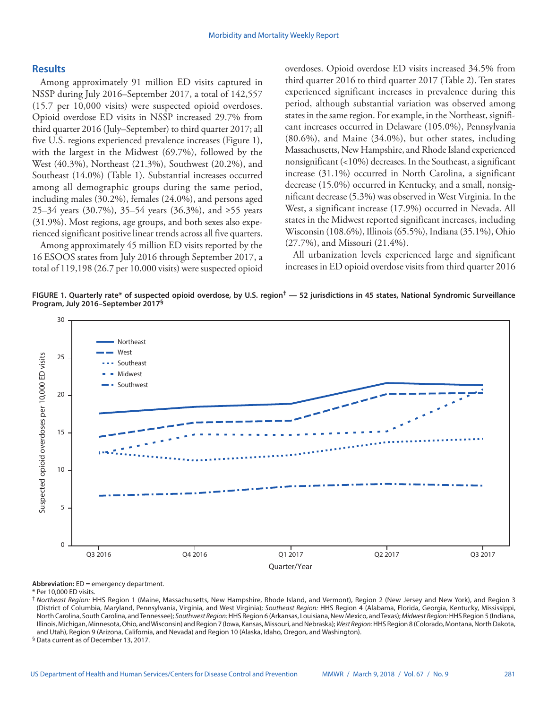## **Results**

Among approximately 91 million ED visits captured in NSSP during July 2016–September 2017, a total of 142,557 (15.7 per 10,000 visits) were suspected opioid overdoses. Opioid overdose ED visits in NSSP increased 29.7% from third quarter 2016 (July–September) to third quarter 2017; all five U.S. regions experienced prevalence increases (Figure 1), with the largest in the Midwest (69.7%), followed by the West (40.3%), Northeast (21.3%), Southwest (20.2%), and Southeast (14.0%) (Table 1). Substantial increases occurred among all demographic groups during the same period, including males (30.2%), females (24.0%), and persons aged 25–34 years (30.7%), 35–54 years (36.3%), and ≥55 years (31.9%). Most regions, age groups, and both sexes also experienced significant positive linear trends across all five quarters.

Among approximately 45 million ED visits reported by the 16 ESOOS states from July 2016 through September 2017, a total of 119,198 (26.7 per 10,000 visits) were suspected opioid overdoses. Opioid overdose ED visits increased 34.5% from third quarter 2016 to third quarter 2017 (Table 2). Ten states experienced significant increases in prevalence during this period, although substantial variation was observed among states in the same region. For example, in the Northeast, significant increases occurred in Delaware (105.0%), Pennsylvania (80.6%), and Maine (34.0%), but other states, including Massachusetts, New Hampshire, and Rhode Island experienced nonsignificant (<10%) decreases. In the Southeast, a significant increase (31.1%) occurred in North Carolina, a significant decrease (15.0%) occurred in Kentucky, and a small, nonsignificant decrease (5.3%) was observed in West Virginia. In the West, a significant increase (17.9%) occurred in Nevada. All states in the Midwest reported significant increases, including Wisconsin (108.6%), Illinois (65.5%), Indiana (35.1%), Ohio (27.7%), and Missouri (21.4%).

All urbanization levels experienced large and significant increases in ED opioid overdose visits from third quarter 2016

**FIGURE 1. Quarterly rate\* of suspected opioid overdose, by U.S. region† — 52 jurisdictions in 45 states, National Syndromic Surveillance Program, July 2016–September 2017§**



**Abbreviation:** ED = emergency department.

\* Per 10,000 ED visits.

† *Northeast Region:* HHS Region 1 (Maine, Massachusetts, New Hampshire, Rhode Island, and Vermont), Region 2 (New Jersey and New York), and Region 3 (District of Columbia, Maryland, Pennsylvania, Virginia, and West Virginia); *Southeast Region:* HHS Region 4 (Alabama, Florida, Georgia, Kentucky, Mississippi, North Carolina, South Carolina, and Tennessee); *Southwest Region:* HHS Region 6 (Arkansas, Louisiana, New Mexico, and Texas); *Midwest Region:* HHS Region 5 (Indiana, Illinois, Michigan, Minnesota, Ohio, and Wisconsin) and Region 7 (Iowa, Kansas, Missouri, and Nebraska); *West Region:* HHS Region 8 (Colorado, Montana, North Dakota, and Utah), Region 9 (Arizona, California, and Nevada) and Region 10 (Alaska, Idaho, Oregon, and Washington).

§ Data current as of December 13, 2017.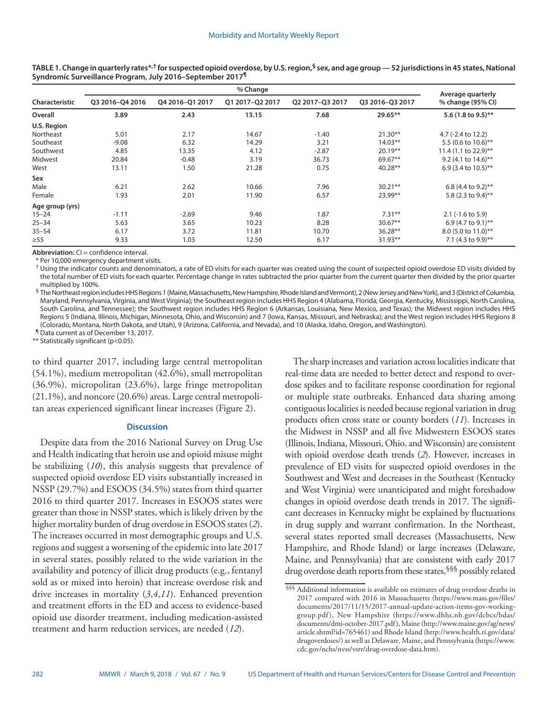|                 |                 | Average quarterly |                 |                 |                 |                        |
|-----------------|-----------------|-------------------|-----------------|-----------------|-----------------|------------------------|
| Characteristic  | Q3 2016-Q4 2016 | Q4 2016-Q1 2017   | Q1 2017-Q2 2017 | Q2 2017-Q3 2017 | Q3 2016-Q3 2017 | % change (95% CI)      |
| Overall         | 3.89            | 2.43              | 13.15           | 7.68            | 29.65**         | 5.6 (1.8 to 9.5)**     |
| U.S. Region     |                 |                   |                 |                 |                 |                        |
| Northeast       | 5.01            | 2.17              | 14.67           | $-1.40$         | $21.30**$       | 4.7 (-2.4 to 12.2)     |
| Southeast       | $-9.08$         | 6.32              | 14.29           | 3.21            | $14.03**$       | 5.5 (0.6 to $10.6$ )** |
| Southwest       | 4.85            | 13.35             | 4.12            | $-2.87$         | $20.19**$       | 11.4 (1.1 to 22.9)**   |
| Midwest         | 20.84           | $-0.48$           | 3.19            | 36.73           | 69.67**         | 9.2 (4.1 to 14.6)**    |
| West            | 13.11           | 1.50              | 21.28           | 0.75            | $40.28**$       | 6.9 (3.4 to 10.5)**    |
| Sex             |                 |                   |                 |                 |                 |                        |
| Male            | 6.21            | 2.62              | 10.66           | 7.96            | $30.21**$       | 6.8 (4.4 to 9.2)**     |
| Female          | 1.93            | 2.01              | 11.90           | 6.57            | 23.99**         | 5.8 (2.3 to 9.4)**     |
| Age group (yrs) |                 |                   |                 |                 |                 |                        |
| $15 - 24$       | $-1.11$         | $-2.69$           | 9.46            | 1.87            | $7.31**$        | $2.1$ (-1.6 to 5.9)    |
| $25 - 34$       | 5.63            | 3.65              | 10.23           | 8.28            | $30.67**$       | 6.9 (4.7 to 9.1)**     |
| $35 - 54$       | 6.17            | 3.72              | 11.81           | 10.70           | $36.28**$       | 8.0 (5.0 to 11.0)**    |
| $\geq 55$       | 9.33            | 1.03              | 12.50           | 6.17            | $31.93**$       | 7.1 (4.3 to 9.9)**     |

**TABLE 1. Change in quarterly rates\*,† for suspected opioid overdose, by U.S. region,§ sex, and age group — 52 jurisdictions in 45 states, National Syndromic Surveillance Program, July 2016–September 2017¶**

**Abbreviation:** CI = confidence interval.

\* Per 10,000 emergency department visits.

† Using the indicator counts and denominators, a rate of ED visits for each quarter was created using the count of suspected opioid overdose ED visits divided by the total number of ED visits for each quarter. Percentage change in rates subtracted the prior quarter from the current quarter then divided by the prior quarter multiplied by 100%.

§ The Northeast region includes HHS Regions 1 (Maine, Massachusetts, New Hampshire, Rhode Island and Vermont), 2 (New Jersey and New York), and 3 (District of Columbia, Maryland, Pennsylvania, Virginia, and West Virginia); the Southeast region includes HHS Region 4 (Alabama, Florida, Georgia, Kentucky, Mississippi, North Carolina, South Carolina, and Tennessee); the Southwest region includes HHS Region 6 (Arkansas, Louisiana, New Mexico, and Texas); the Midwest region includes HHS Regions 5 (Indiana, Illinois, Michigan, Minnesota, Ohio, and Wisconsin) and 7 (Iowa, Kansas, Missouri, and Nebraska); and the West region includes HHS Regions 8 (Colorado, Montana, North Dakota, and Utah), 9 (Arizona, California, and Nevada), and 10 (Alaska, Idaho, Oregon, and Washington).

¶ Data current as of December 13, 2017.

\*\* Statistically significant (p<0.05).

to third quarter 2017, including large central metropolitan (54.1%), medium metropolitan (42.6%), small metropolitan (36.9%), micropolitan (23.6%), large fringe metropolitan (21.1%), and noncore (20.6%) areas. Large central metropolitan areas experienced significant linear increases (Figure 2).

#### **Discussion**

Despite data from the 2016 National Survey on Drug Use and Health indicating that heroin use and opioid misuse might be stabilizing (*10*), this analysis suggests that prevalence of suspected opioid overdose ED visits substantially increased in NSSP (29.7%) and ESOOS (34.5%) states from third quarter 2016 to third quarter 2017. Increases in ESOOS states were greater than those in NSSP states, which is likely driven by the higher mortality burden of drug overdose in ESOOS states (*2*). The increases occurred in most demographic groups and U.S. regions and suggest a worsening of the epidemic into late 2017 in several states, possibly related to the wide variation in the availability and potency of illicit drug products (e.g., fentanyl sold as or mixed into heroin) that increase overdose risk and drive increases in mortality (*3*,*4*,*11*). Enhanced prevention and treatment efforts in the ED and access to evidence-based opioid use disorder treatment, including medication-assisted treatment and harm reduction services, are needed (*12*).

The sharp increases and variation across localities indicate that real-time data are needed to better detect and respond to overdose spikes and to facilitate response coordination for regional or multiple state outbreaks. Enhanced data sharing among contiguous localities is needed because regional variation in drug products often cross state or county borders (*11*). Increases in the Midwest in NSSP and all five Midwestern ESOOS states (Illinois, Indiana, Missouri, Ohio, and Wisconsin) are consistent with opioid overdose death trends (*2*). However, increases in prevalence of ED visits for suspected opioid overdoses in the Southwest and West and decreases in the Southeast (Kentucky and West Virginia) were unanticipated and might foreshadow changes in opioid overdose death trends in 2017. The significant decreases in Kentucky might be explained by fluctuations in drug supply and warrant confirmation. In the Northeast, several states reported small decreases (Massachusetts, New Hampshire, and Rhode Island) or large increases (Delaware, Maine, and Pennsylvania) that are consistent with early 2017 drug overdose death reports from these states,§§§ possibly related

<sup>§§§</sup> Additional information is available on estimates of drug overdose deaths in 2017 compared with 2016 in Massachusetts ([https://www.mass.gov/files/](https://www.mass.gov/files/documents/2017/11/15/2017-annual-update-action-items-gov-working-group.pdf) [documents/2017/11/15/2017-annual-update-action-items-gov-working](https://www.mass.gov/files/documents/2017/11/15/2017-annual-update-action-items-gov-working-group.pdf)[group.pdf\)](https://www.mass.gov/files/documents/2017/11/15/2017-annual-update-action-items-gov-working-group.pdf), New Hampshire ([https://www.dhhs.nh.gov/dcbcs/bdas/](https://www.dhhs.nh.gov/dcbcs/bdas/documents/dmi-october-2017.pdf) [documents/dmi-october-2017.pdf](https://www.dhhs.nh.gov/dcbcs/bdas/documents/dmi-october-2017.pdf)), Maine [\(http://www.maine.gov/ag/news/](http://www.maine.gov/ag/news/article.shtml?id=765461) [article.shtml?id=765461](http://www.maine.gov/ag/news/article.shtml?id=765461)) and Rhode Island [\(http://www.health.ri.gov/data/](http://www.health.ri.gov/data/drugoverdoses/) [drugoverdoses/\)](http://www.health.ri.gov/data/drugoverdoses/) as well as Delaware, Maine, and Pennsylvania ([https://www.](https://www.cdc.gov/nchs/nvss/vsrr/drug-overdose-data.htm) [cdc.gov/nchs/nvss/vsrr/drug-overdose-data.htm](https://www.cdc.gov/nchs/nvss/vsrr/drug-overdose-data.htm)).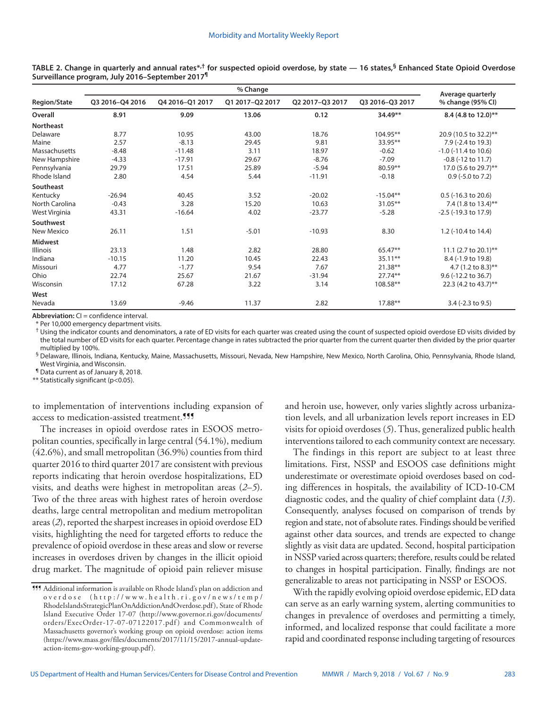| <b>Region/State</b> |                 | Average quarterly |                 |                 |                 |                              |
|---------------------|-----------------|-------------------|-----------------|-----------------|-----------------|------------------------------|
|                     | Q3 2016-Q4 2016 | Q4 2016-Q1 2017   | Q1 2017-Q2 2017 | Q2 2017-Q3 2017 | Q3 2016-Q3 2017 | % change (95% CI)            |
| Overall             | 8.91            | 9.09              | 13.06           | 0.12            | $34.49**$       | 8.4 (4.8 to 12.0)**          |
| <b>Northeast</b>    |                 |                   |                 |                 |                 |                              |
| Delaware            | 8.77            | 10.95             | 43.00           | 18.76           | 104.95**        | 20.9 (10.5 to 32.2)**        |
| Maine               | 2.57            | $-8.13$           | 29.45           | 9.81            | 33.95**         | 7.9 (-2.4 to 19.3)           |
| Massachusetts       | $-8.48$         | $-11.48$          | 3.11            | 18.97           | $-0.62$         | $-1.0$ ( $-11.4$ to $10.6$ ) |
| New Hampshire       | $-4.33$         | $-17.91$          | 29.67           | $-8.76$         | $-7.09$         | $-0.8$ ( $-12$ to $11.7$ )   |
| Pennsylvania        | 29.79           | 17.51             | 25.89           | $-5.94$         | $80.59**$       | 17.0 (5.6 to 29.7)**         |
| Rhode Island        | 2.80            | 4.54              | 5.44            | $-11.91$        | $-0.18$         | $0.9$ (-5.0 to 7.2)          |
| Southeast           |                 |                   |                 |                 |                 |                              |
| Kentucky            | $-26.94$        | 40.45             | 3.52            | $-20.02$        | $-15.04**$      | $0.5$ (-16.3 to 20.6)        |
| North Carolina      | $-0.43$         | 3.28              | 15.20           | 10.63           | 31.05**         | 7.4 (1.8 to 13.4)**          |
| West Virginia       | 43.31           | $-16.64$          | 4.02            | $-23.77$        | $-5.28$         | $-2.5$ ( $-19.3$ to 17.9)    |
| Southwest           |                 |                   |                 |                 |                 |                              |
| New Mexico          | 26.11           | 1.51              | $-5.01$         | $-10.93$        | 8.30            | 1.2 (-10.4 to 14.4)          |
| <b>Midwest</b>      |                 |                   |                 |                 |                 |                              |
| <b>Illinois</b>     | 23.13           | 1.48              | 2.82            | 28.80           | 65.47**         | 11.1 (2.7 to 20.1)**         |
| Indiana             | $-10.15$        | 11.20             | 10.45           | 22.43           | 35.11**         | 8.4 (-1.9 to 19.8)           |
| Missouri            | 4.77            | $-1.77$           | 9.54            | 7.67            | $21.38**$       | 4.7 (1.2 to 8.3)**           |
| Ohio                | 22.74           | 25.67             | 21.67           | $-31.94$        | $27.74**$       | 9.6 (-12.2 to 36.7)          |
| Wisconsin           | 17.12           | 67.28             | 3.22            | 3.14            | 108.58**        | 22.3 (4.2 to 43.7)**         |
| West                |                 |                   |                 |                 |                 |                              |
| Nevada              | 13.69           | $-9.46$           | 11.37           | 2.82            | 17.88**         | $3.4$ (-2.3 to 9.5)          |

**TABLE 2. Change in quarterly and annual rates\*,† for suspected opioid overdose, by state — 16 states,§ Enhanced State Opioid Overdose Surveillance program, July 2016–September 2017¶**

**Abbreviation:** CI = confidence interval.

\* Per 10,000 emergency department visits.

† Using the indicator counts and denominators, a rate of ED visits for each quarter was created using the count of suspected opioid overdose ED visits divided by the total number of ED visits for each quarter. Percentage change in rates subtracted the prior quarter from the current quarter then divided by the prior quarter multiplied by 100%.

§ Delaware, Illinois, Indiana, Kentucky, Maine, Massachusetts, Missouri, Nevada, New Hampshire, New Mexico, North Carolina, Ohio, Pennsylvania, Rhode Island, West Virginia, and Wisconsin.

¶ Data current as of January 8, 2018.

\*\* Statistically significant (p<0.05).

to implementation of interventions including expansion of access to medication-assisted treatment.<sup>999</sup>

The increases in opioid overdose rates in ESOOS metropolitan counties, specifically in large central (54.1%), medium (42.6%), and small metropolitan (36.9%) counties from third quarter 2016 to third quarter 2017 are consistent with previous reports indicating that heroin overdose hospitalizations, ED visits, and deaths were highest in metropolitan areas (*2*–*5*). Two of the three areas with highest rates of heroin overdose deaths, large central metropolitan and medium metropolitan areas (*2*), reported the sharpest increases in opioid overdose ED visits, highlighting the need for targeted efforts to reduce the prevalence of opioid overdose in these areas and slow or reverse increases in overdoses driven by changes in the illicit opioid drug market. The magnitude of opioid pain reliever misuse and heroin use, however, only varies slightly across urbanization levels, and all urbanization levels report increases in ED visits for opioid overdoses (*5*). Thus, generalized public health interventions tailored to each community context are necessary.

The findings in this report are subject to at least three limitations. First, NSSP and ESOOS case definitions might underestimate or overestimate opioid overdoses based on coding differences in hospitals, the availability of ICD-10-CM diagnostic codes, and the quality of chief complaint data (*13*). Consequently, analyses focused on comparison of trends by region and state, not of absolute rates. Findings should be verified against other data sources, and trends are expected to change slightly as visit data are updated. Second, hospital participation in NSSP varied across quarters; therefore, results could be related to changes in hospital participation. Finally, findings are not generalizable to areas not participating in NSSP or ESOOS.

With the rapidly evolving opioid overdose epidemic, ED data can serve as an early warning system, alerting communities to changes in prevalence of overdoses and permitting a timely, informed, and localized response that could facilitate a more rapid and coordinated response including targeting of resources

<sup>¶¶¶</sup> Additional information is available on Rhode Island's plan on addiction and overdose ( [http://www.health.ri.gov/news/temp/](http://www.health.ri.gov/news/temp/RhodeIslandsStrategicPlanOnAddictionAndOverdose.pdf) [RhodeIslandsStrategicPlanOnAddictionAndOverdose.pdf\)](http://www.health.ri.gov/news/temp/RhodeIslandsStrategicPlanOnAddictionAndOverdose.pdf), State of Rhode Island Executive Order 17-07 [\(http://www.governor.ri.gov/documents/](http://www.governor.ri.gov/documents/orders/ExecOrder-17-07-07122017.pdf) [orders/ExecOrder-17-07-07122017.pdf](http://www.governor.ri.gov/documents/orders/ExecOrder-17-07-07122017.pdf)) and Commonwealth of Massachusetts governor's working group on opioid overdose: action items [\(https://www.mass.gov/files/documents/2017/11/15/2017-annual-update](https://www.mass.gov/files/documents/2017/11/15/2017-annual-update-action-items-gov-working-group.pdf)[action-items-gov-working-group.pdf](https://www.mass.gov/files/documents/2017/11/15/2017-annual-update-action-items-gov-working-group.pdf)).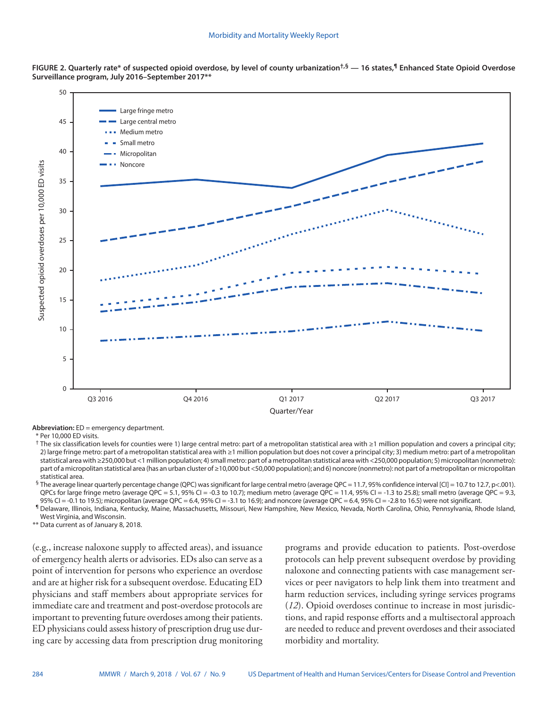

**FIGURE 2. Quarterly rate\* of suspected opioid overdose, by level of county urbanization†,§ — 16 states,¶ Enhanced State Opioid Overdose Surveillance program, July 2016–September 2017\*\***

**Abbreviation:** ED = emergency department.

\* Per 10,000 ED visits.

† The six classification levels for counties were 1) large central metro: part of a metropolitan statistical area with ≥1 million population and covers a principal city; 2) large fringe metro: part of a metropolitan statistical area with ≥1 million population but does not cover a principal city; 3) medium metro: part of a metropolitan statistical area with ≥250,000 but <1 million population; 4) small metro: part of a metropolitan statistical area with <250,000 population; 5) micropolitan (nonmetro): part of a micropolitan statistical area (has an urban cluster of ≥10,000 but <50,000 population); and 6) noncore (nonmetro): not part of a metropolitan or micropolitan statistical area.

§ The average linear quarterly percentage change (QPC) was significant for large central metro (average QPC = 11.7, 95% confidence interval [CI] = 10.7 to 12.7, p<.001). QPCs for large fringe metro (average QPC = 5.1, 95% CI = -0.3 to 10.7); medium metro (average QPC = 11.4, 95% CI = -1.3 to 25.8); small metro (average QPC = 9.3, 95% CI = -0.1 to 19.5); micropolitan (average QPC = 6.4, 95% CI = -3.1 to 16.9); and noncore (average QPC = 6.4, 95% CI = -2.8 to 16.5) were not significant.

¶ Delaware, Illinois, Indiana, Kentucky, Maine, Massachusetts, Missouri, New Hampshire, New Mexico, Nevada, North Carolina, Ohio, Pennsylvania, Rhode Island, West Virginia, and Wisconsin.

\*\* Data current as of January 8, 2018.

(e.g., increase naloxone supply to affected areas), and issuance of emergency health alerts or advisories. EDs also can serve as a point of intervention for persons who experience an overdose and are at higher risk for a subsequent overdose. Educating ED physicians and staff members about appropriate services for immediate care and treatment and post-overdose protocols are important to preventing future overdoses among their patients. ED physicians could assess history of prescription drug use during care by accessing data from prescription drug monitoring programs and provide education to patients. Post-overdose protocols can help prevent subsequent overdose by providing naloxone and connecting patients with case management services or peer navigators to help link them into treatment and harm reduction services, including syringe services programs (*12*). Opioid overdoses continue to increase in most jurisdictions, and rapid response efforts and a multisectoral approach are needed to reduce and prevent overdoses and their associated morbidity and mortality.